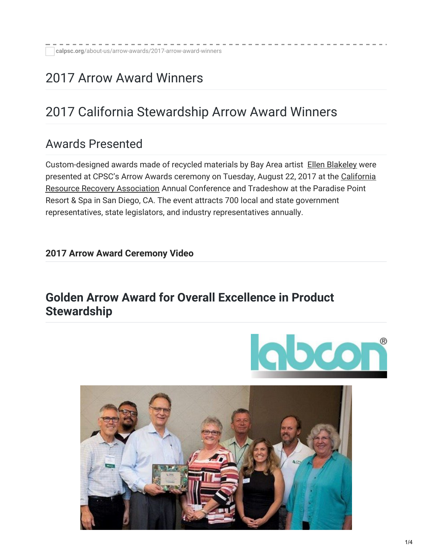# 2017 Arrow Award Winners

# 2017 California Stewardship Arrow Award Winners

### Awards Presented

Custom-designed awards made of recycled materials by Bay Area artist Ellen [Blakeley](http://www.ellenblakeley.com/) were presented at CPSC's Arrow Awards ceremony on Tuesday, August 22, 2017 at the California Resource Recovery [Association](http://www.crra.us/) Annual Conference and Tradeshow at the Paradise Point Resort & Spa in San Diego, CA. The event attracts 700 local and state government representatives, state legislators, and industry representatives annually.

#### **2017 Arrow Award [Ceremony](https://www.youtube.com/watch?v=1CauD8uBShU&t=1s) Video**

#### **Golden Arrow Award for Overall Excellence in Product Stewardship**



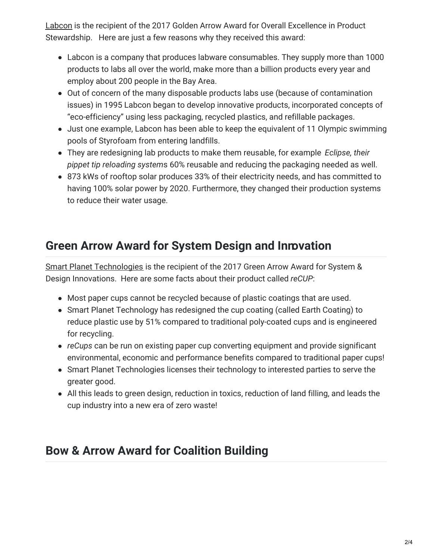[Labcon](http://www.labcon.com/) is the recipient of the 2017 Golden Arrow Award for Overall Excellence in Product Stewardship. Here are just a few reasons why they received this award:

- Labcon is a company that produces labware consumables. They supply more than 1000 products to labs all over the world, make more than a billion products every year and employ about 200 people in the Bay Area.
- Out of concern of the many disposable products labs use (because of contamination issues) in 1995 Labcon began to develop innovative products, incorporated concepts of "eco-efficiency" using less packaging, recycled plastics, and refillable packages.
- Just one example, Labcon has been able to keep the equivalent of 11 Olympic swimming pools of Styrofoam from entering landfills.
- They are redesigning lab products to make them reusable, for example *Eclipse, their pippet tip reloading system*s 60% reusable and reducing the packaging needed as well.
- 873 kWs of rooftop solar produces 33% of their electricity needs, and has committed to having 100% solar power by 2020. Furthermore, they changed their production systems to reduce their water usage.

# **Green Arrow Award for System Design and Innovation**

Smart Planet [Technologies](http://smartplanettech.com/) is the recipient of the 2017 Green Arrow Award for System & Design Innovations. Here are some facts about their product called *reCUP*:

- Most paper cups cannot be recycled because of plastic coatings that are used.
- Smart Planet Technology has redesigned the cup coating (called Earth Coating) to reduce plastic use by 51% compared to traditional poly-coated cups and is engineered for recycling.
- *reCups* can be run on existing paper cup converting equipment and provide significant environmental, economic and performance benefits compared to traditional paper cups!
- Smart Planet Technologies licenses their technology to interested parties to serve the greater good.
- All this leads to green design, reduction in toxics, reduction of land filling, and leads the cup industry into a new era of zero waste!

# **Bow & Arrow Award for Coalition Building**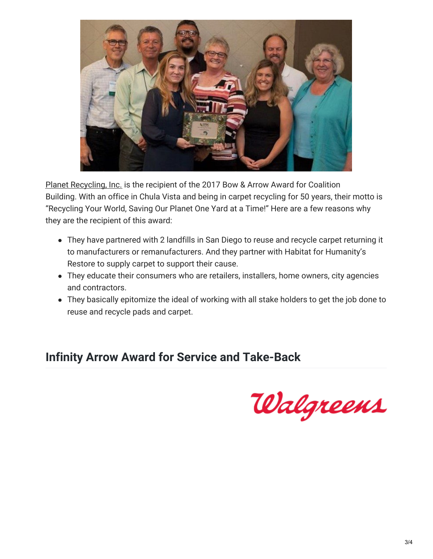

Planet [Recycling,](http://www.planetrecyclingphoenix.com/) Inc. is the recipient of the 2017 Bow & Arrow Award for Coalition Building. With an office in Chula Vista and being in carpet recycling for 50 years, their motto is "Recycling Your World, Saving Our Planet One Yard at a Time!" Here are a few reasons why they are the recipient of this award:

- They have partnered with 2 landfills in San Diego to reuse and recycle carpet returning it to manufacturers or remanufacturers. And they partner with Habitat for Humanity's Restore to supply carpet to support their cause.
- They educate their consumers who are retailers, installers, home owners, city agencies and contractors.
- They basically epitomize the ideal of working with all stake holders to get the job done to reuse and recycle pads and carpet.

### **Infinity Arrow Award for Service and Take-Back**

Walgreens